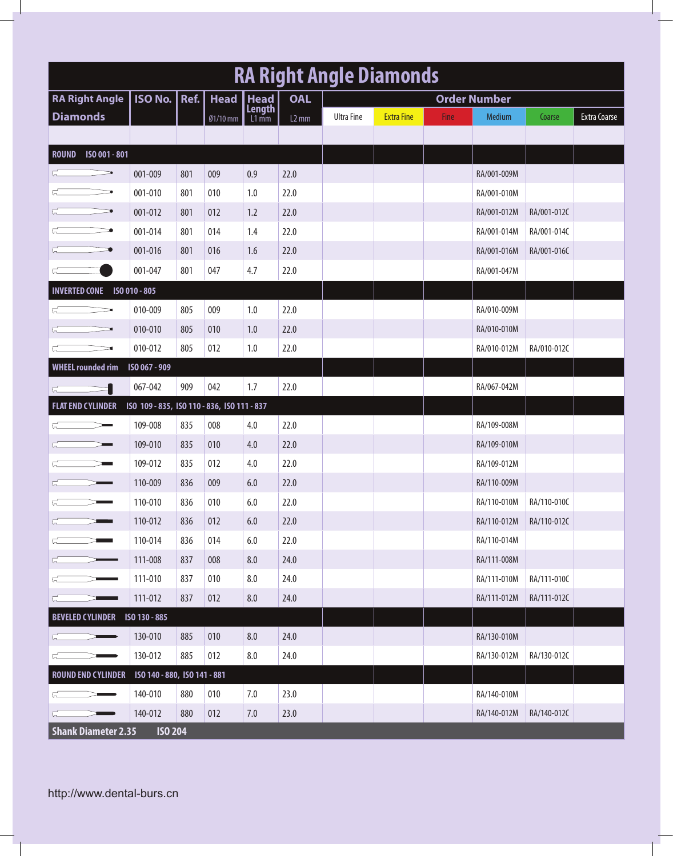| <b>RA Right Angle Diamonds</b> |                                             |                                                   |          |                   |            |                     |                   |      |             |             |              |  |  |
|--------------------------------|---------------------------------------------|---------------------------------------------------|----------|-------------------|------------|---------------------|-------------------|------|-------------|-------------|--------------|--|--|
| <b>RA Right Angle</b>          |                                             | <b>ISO No. Ref.</b><br><b>Head</b><br><b>Head</b> |          |                   | <b>OAL</b> | <b>Order Number</b> |                   |      |             |             |              |  |  |
| <b>Diamonds</b>                |                                             |                                                   | Ø1/10 mm | Length<br>$L1$ mm | $L2$ mm    | <b>Ultra Fine</b>   | <b>Extra Fine</b> | Fine | Medium      | Coarse      | Extra Coarse |  |  |
|                                |                                             |                                                   |          |                   |            |                     |                   |      |             |             |              |  |  |
| ISO 001 - 801<br><b>ROUND</b>  |                                             |                                                   |          |                   |            |                     |                   |      |             |             |              |  |  |
|                                | 001-009                                     | 801                                               | 009      | 0.9               | 22.0       |                     |                   |      | RA/001-009M |             |              |  |  |
|                                | 001-010                                     | 801                                               | 010      | 1.0               | 22.0       |                     |                   |      | RA/001-010M |             |              |  |  |
|                                | 001-012                                     | 801                                               | 012      | 1.2               | 22.0       |                     |                   |      | RA/001-012M | RA/001-012C |              |  |  |
|                                | 001-014                                     | 801                                               | 014      | 1.4               | 22.0       |                     |                   |      | RA/001-014M | RA/001-014C |              |  |  |
|                                | 001-016                                     | 801                                               | 016      | 1.6               | 22.0       |                     |                   |      | RA/001-016M | RA/001-016C |              |  |  |
|                                | 001-047                                     | 801                                               | 047      | 4.7               | 22.0       |                     |                   |      | RA/001-047M |             |              |  |  |
| <b>INVERTED CONE</b>           | ISO 010 - 805                               |                                                   |          |                   |            |                     |                   |      |             |             |              |  |  |
|                                | 010-009                                     | 805                                               | 009      | 1.0               | 22.0       |                     |                   |      | RA/010-009M |             |              |  |  |
|                                | 010-010                                     | 805                                               | 010      | 1.0               | 22.0       |                     |                   |      | RA/010-010M |             |              |  |  |
|                                | 010-012                                     | 805                                               | 012      | 1.0               | 22.0       |                     |                   |      | RA/010-012M | RA/010-012C |              |  |  |
| <b>WHEEL rounded rim</b>       | ISO 067 - 909                               |                                                   |          |                   |            |                     |                   |      |             |             |              |  |  |
|                                | 067-042                                     | 909                                               | 042      | 1.7               | 22.0       |                     |                   |      | RA/067-042M |             |              |  |  |
| <b>FLAT END CYLINDER</b>       | ISO 109 - 835, ISO 110 - 836, ISO 111 - 837 |                                                   |          |                   |            |                     |                   |      |             |             |              |  |  |
|                                | 109-008                                     | 835                                               | 008      | 4.0               | 22.0       |                     |                   |      | RA/109-008M |             |              |  |  |
|                                | 109-010                                     | 835                                               | 010      | 4.0               | 22.0       |                     |                   |      | RA/109-010M |             |              |  |  |
|                                | 109-012                                     | 835                                               | 012      | 4.0               | 22.0       |                     |                   |      | RA/109-012M |             |              |  |  |
|                                | 110-009                                     | 836                                               | 009      | 6.0               | 22.0       |                     |                   |      | RA/110-009M |             |              |  |  |
|                                | 110-010                                     | 836                                               | 010      | 6.0               | 22.0       |                     |                   |      | RA/110-010M | RA/110-010C |              |  |  |
|                                | 110-012                                     | 836                                               | 012      | 6.0               | 22.0       |                     |                   |      | RA/110-012M | RA/110-012C |              |  |  |
|                                | 110-014                                     | 836                                               | 014      | 6.0               | 22.0       |                     |                   |      | RA/110-014M |             |              |  |  |
|                                | 111-008                                     | 837                                               | 008      | 8.0               | 24.0       |                     |                   |      | RA/111-008M |             |              |  |  |
|                                | 111-010                                     | 837                                               | 010      | 8.0               | 24.0       |                     |                   |      | RA/111-010M | RA/111-010C |              |  |  |
| ⋤                              | 111-012                                     | 837                                               | 012      | 8.0               | 24.0       |                     |                   |      | RA/111-012M | RA/111-012C |              |  |  |
| BEVELED CYLINDER ISO 130 - 885 |                                             |                                                   |          |                   |            |                     |                   |      |             |             |              |  |  |
|                                | 130-010                                     | 885                                               | 010      | 8.0               | 24.0       |                     |                   |      | RA/130-010M |             |              |  |  |
| G_                             | 130-012                                     | 885                                               | 012      | 8.0               | 24.0       |                     |                   |      | RA/130-012M | RA/130-012C |              |  |  |
| <b>ROUND END CYLINDER</b>      | ISO 140 - 880, ISO 141 - 881                |                                                   |          |                   |            |                     |                   |      |             |             |              |  |  |
|                                | 140-010                                     | 880                                               | 010      | 7.0               | 23.0       |                     |                   |      | RA/140-010M |             |              |  |  |
| └╌                             | 140-012                                     | 880                                               | 012      | 7.0               | 23.0       |                     |                   |      | RA/140-012M | RA/140-012C |              |  |  |
| <b>Shank Diameter 2.35</b>     | <b>ISO 204</b>                              |                                                   |          |                   |            |                     |                   |      |             |             |              |  |  |

http://www.dental-burs.cn